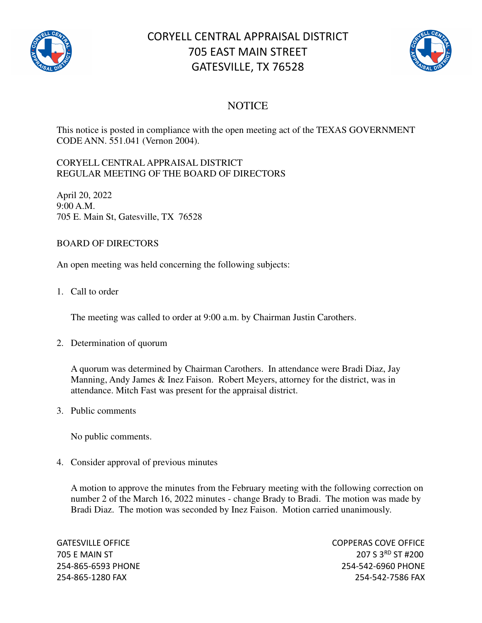

# CORYELL CENTRAL APPRAISAL DISTRICT 705 EAST MAIN STREET GATESVILLE, TX 76528



### **NOTICE**

This notice is posted in compliance with the open meeting act of the TEXAS GOVERNMENT CODE ANN. 551.041 (Vernon 2004).

#### CORYELL CENTRAL APPRAISAL DISTRICT REGULAR MEETING OF THE BOARD OF DIRECTORS

April 20, 2022 9:00 A.M. 705 E. Main St, Gatesville, TX 76528

#### BOARD OF DIRECTORS

An open meeting was held concerning the following subjects:

1. Call to order

The meeting was called to order at 9:00 a.m. by Chairman Justin Carothers.

2. Determination of quorum

A quorum was determined by Chairman Carothers. In attendance were Bradi Diaz, Jay Manning, Andy James & Inez Faison. Robert Meyers, attorney for the district, was in attendance. Mitch Fast was present for the appraisal district.

3. Public comments

No public comments.

4. Consider approval of previous minutes

A motion to approve the minutes from the February meeting with the following correction on number 2 of the March 16, 2022 minutes - change Brady to Bradi. The motion was made by Bradi Diaz. The motion was seconded by Inez Faison. Motion carried unanimously.

GATESVILLE OFFICE **COPPERAS COVE OF EXAMPLE 2** 705 E MAIN ST 207 S 3RD ST #200 254-865-6593 PHONE 254-542-6960 PHONE 254-865-1280 FAX 254-542-7586 FAX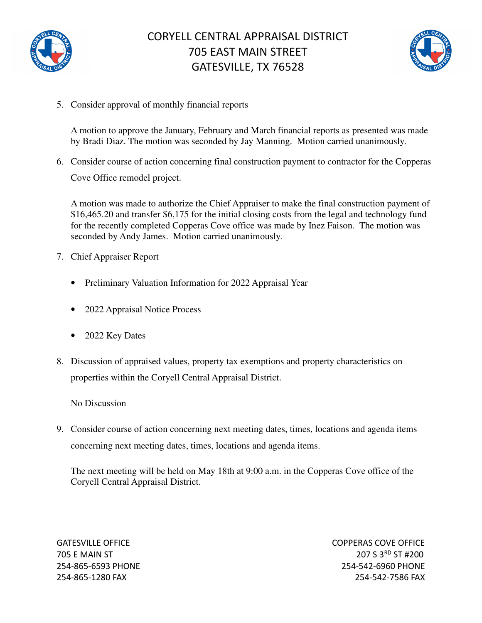

## CORYELL CENTRAL APPRAISAL DISTRICT 705 EAST MAIN STREET GATESVILLE, TX 76528



5. Consider approval of monthly financial reports

A motion to approve the January, February and March financial reports as presented was made by Bradi Diaz. The motion was seconded by Jay Manning. Motion carried unanimously.

6. Consider course of action concerning final construction payment to contractor for the Copperas Cove Office remodel project.

A motion was made to authorize the Chief Appraiser to make the final construction payment of \$16,465.20 and transfer \$6,175 for the initial closing costs from the legal and technology fund for the recently completed Copperas Cove office was made by Inez Faison. The motion was seconded by Andy James. Motion carried unanimously.

- 7. Chief Appraiser Report
	- Preliminary Valuation Information for 2022 Appraisal Year
	- 2022 Appraisal Notice Process
	- 2022 Key Dates
- 8. Discussion of appraised values, property tax exemptions and property characteristics on properties within the Coryell Central Appraisal District.

No Discussion

9. Consider course of action concerning next meeting dates, times, locations and agenda items concerning next meeting dates, times, locations and agenda items.

The next meeting will be held on May 18th at 9:00 a.m. in the Copperas Cove office of the Coryell Central Appraisal District.

GATESVILLE OFFICE **COPPERAS COVE OF EXAMPLE 2** 705 E MAIN ST 207 S 3RD ST #200 254-865-6593 PHONE 254-542-6960 PHONE 254-865-1280 FAX 254-542-7586 FAX